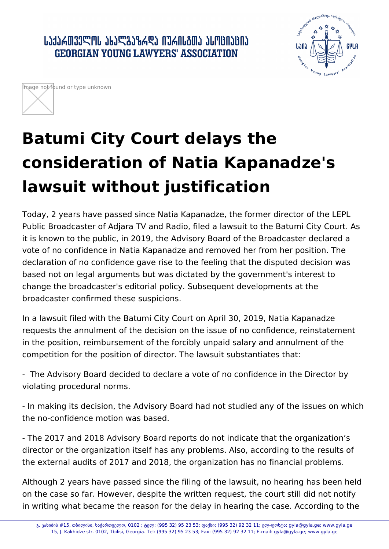․ ԱՆՅՆՃᲗᲕᲔᲚᲝᲡ ᲐᲮᲐᲚᲒᲐᲖᲠᲓᲐ ᲘᲣᲠᲘᲡᲒᲗᲐ ᲐᲡᲝᲪᲘᲐᲪᲘᲐ **GEORGIAN YOUNG LAWYERS' ASSOCIATION** 





## **Batumi City Court delays the consideration of Natia Kapanadze's lawsuit without justification**

Today, 2 years have passed since Natia Kapanadze, the former director of the LEPL Public Broadcaster of Adjara TV and Radio, filed a lawsuit to the Batumi City Court. As it is known to the public, in 2019, the Advisory Board of the Broadcaster declared a vote of no confidence in Natia Kapanadze and removed her from her position. The declaration of no confidence gave rise to the feeling that the disputed decision was based not on legal arguments but was dictated by the government's interest to change the broadcaster's editorial policy. Subsequent developments at the broadcaster confirmed these suspicions.

In a lawsuit filed with the Batumi City Court on April 30, 2019, Natia Kapanadze requests the annulment of the decision on the issue of no confidence, reinstatement in the position, reimbursement of the forcibly unpaid salary and annulment of the competition for the position of director. The lawsuit substantiates that:

- The Advisory Board decided to declare a vote of no confidence in the Director by violating procedural norms.

- In making its decision, the Advisory Board had not studied any of the issues on which the no-confidence motion was based.

- The 2017 and 2018 Advisory Board reports do not indicate that the organization's director or the organization itself has any problems. Also, according to the results of the external audits of 2017 and 2018, the organization has no financial problems.

Although 2 years have passed since the filing of the lawsuit, no hearing has been held on the case so far. However, despite the written request, the court still did not notify in writing what became the reason for the delay in hearing the case. According to the